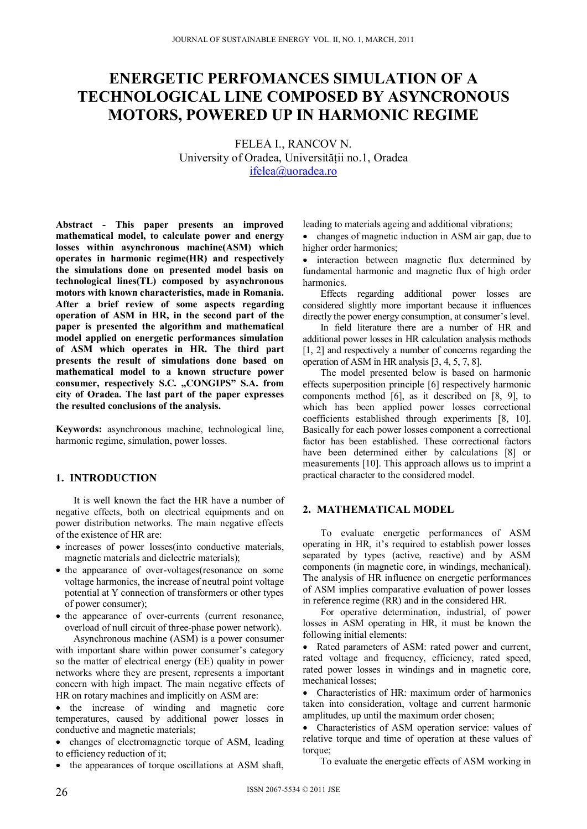# **ENERGETIC PERFOMANCES SIMULATION OF A TECHNOLOGICAL LINE COMPOSED BY ASYNCRONOUS MOTORS, POWERED UP IN HARMONIC REGIME**

FELEA I., RANCOV N. University of Oradea, Universității no.1, Oradea ifelea@uoradea.ro

**Abstract - This paper presents an improved mathematical model, to calculate power and energy losses within asynchronous machine(ASM) which operates in harmonic regime(HR) and respectively the simulations done on presented model basis on technological lines(TL) composed by asynchronous motors with known characteristics, made in Romania. After a brief review of some aspects regarding operation of ASM in HR, in the second part of the paper is presented the algorithm and mathematical model applied on energetic performances simulation of ASM which operates in HR. The third part presents the result of simulations done based on mathematical model to a known structure power consumer, respectively S.C. "CONGIPS" S.A. from city of Oradea. The last part of the paper expresses the resulted conclusions of the analysis.** 

**Keywords:** asynchronous machine, technological line, harmonic regime, simulation, power losses.

# **1. INTRODUCTION**

It is well known the fact the HR have a number of negative effects, both on electrical equipments and on power distribution networks. The main negative effects of the existence of HR are:

- increases of power losses(into conductive materials, magnetic materials and dielectric materials);
- the appearance of over-voltages(resonance on some voltage harmonics, the increase of neutral point voltage potential at Y connection of transformers or other types of power consumer);
- the appearance of over-currents (current resonance, overload of null circuit of three-phase power network).

Asynchronous machine (ASM) is a power consumer with important share within power consumer's category so the matter of electrical energy (EE) quality in power networks where they are present, represents a important concern with high impact. The main negative effects of HR on rotary machines and implicitly on ASM are:

 the increase of winding and magnetic core temperatures, caused by additional power losses in conductive and magnetic materials;

 changes of electromagnetic torque of ASM, leading to efficiency reduction of it;

• the appearances of torque oscillations at ASM shaft,

leading to materials ageing and additional vibrations;

• changes of magnetic induction in ASM air gap, due to higher order harmonics;

• interaction between magnetic flux determined by fundamental harmonic and magnetic flux of high order harmonics.

Effects regarding additional power losses are considered slightly more important because it influences directly the power energy consumption, at consumer's level.

In field literature there are a number of HR and additional power losses in HR calculation analysis methods [1, 2] and respectively a number of concerns regarding the operation of ASM in HR analysis [3, 4, 5, 7, 8].

The model presented below is based on harmonic effects superposition principle [6] respectively harmonic components method [6], as it described on [8, 9], to which has been applied power losses correctional coefficients established through experiments [8, 10]. Basically for each power losses component a correctional factor has been established. These correctional factors have been determined either by calculations [8] or measurements [10]. This approach allows us to imprint a practical character to the considered model.

# **2. MATHEMATICAL MODEL**

To evaluate energetic performances of ASM operating in HR, it's required to establish power losses separated by types (active, reactive) and by ASM components (in magnetic core, in windings, mechanical). The analysis of HR influence on energetic performances of ASM implies comparative evaluation of power losses in reference regime (RR) and in the considered HR.

For operative determination, industrial, of power losses in ASM operating in HR, it must be known the following initial elements:

 Rated parameters of ASM: rated power and current, rated voltage and frequency, efficiency, rated speed, rated power losses in windings and in magnetic core, mechanical losses;

 Characteristics of HR: maximum order of harmonics taken into consideration, voltage and current harmonic amplitudes, up until the maximum order chosen;

 Characteristics of ASM operation service: values of relative torque and time of operation at these values of torque;

To evaluate the energetic effects of ASM working in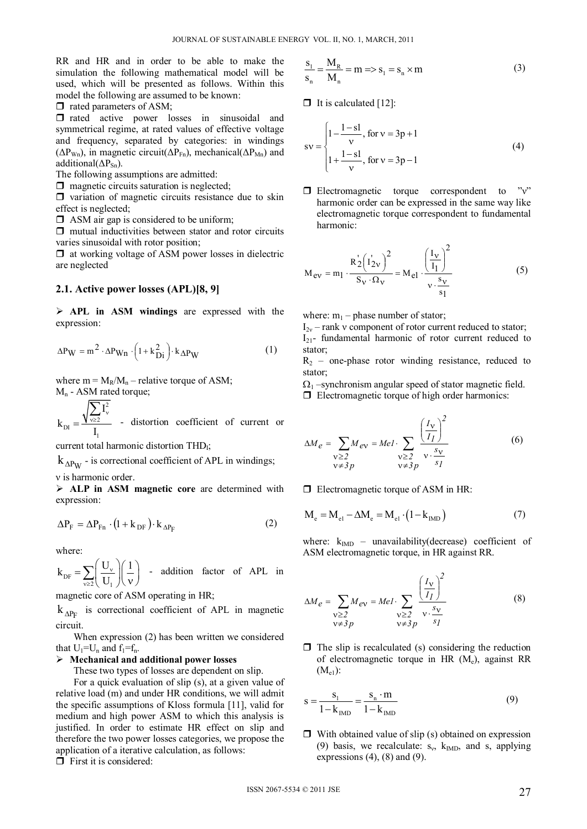RR and HR and in order to be able to make the simulation the following mathematical model will be used, which will be presented as follows. Within this model the following are assumed to be known:

 $\Box$  rated parameters of ASM;

 $\Box$  rated active power losses in sinusoidal and symmetrical regime, at rated values of effective voltage and frequency, separated by categories: in windings ( $\Delta P_{Wn}$ ), in magnetic circuit( $\Delta P_{Fn}$ ), mechanical( $\Delta P_{Mn}$ ) and additional( $\Delta P_{Sn}$ ).

The following assumptions are admitted:

 $\Box$  magnetic circuits saturation is neglected;

 $\Box$  variation of magnetic circuits resistance due to skin effect is neglected;

 $\Box$  ASM air gap is considered to be uniform;

 $\Box$  mutual inductivities between stator and rotor circuits varies sinusoidal with rotor position;

 $\Box$  at working voltage of ASM power losses in dielectric are neglected

#### **2.1. Active power losses (APL)[8, 9]**

 **APL in ASM windings** are expressed with the expression:

$$
\Delta P_W = m^2 \cdot \Delta P_{Wn} \cdot \left(1 + k_{Di}^2\right) \cdot k_{\Delta P_W} \tag{1}
$$

where  $m = M_R/M_n$  – relative torque of ASM;  $M_n$  - ASM rated torque;

2  $_{\text{DI}} = \frac{\mathbf{V} \times 2}{\mathbf{I}}$ 1 I k I  $=\frac{\sqrt{\frac{2}{v\geq2}}^{\sqrt{v}}}{\sqrt{v}}$ Σ - distortion coefficient of current or

current total harmonic distortion THD<sub>I</sub>;

 $k_{\Delta P_W}$  - is correctional coefficient of APL in windings;

ν is harmonic order.

 **ALP in ASM magnetic core** are determined with expression:

$$
\Delta P_{\rm F} = \Delta P_{\rm Fn} \cdot (1 + k_{\rm DF}) \cdot k_{\Delta P_{\rm F}}
$$
 (2)

where:

 $\overline{\mathsf{D}F}$   $\overline{\mathsf{L}}$   $\overline{\mathsf{L}}$   $\overline{\mathsf{L}}$   $\overline{\mathsf{L}}$  $k_{\text{DF}} = \sum \left( \frac{U_{\text{v}}}{\sigma_{\text{F}}} \right) \left( \frac{1}{\sigma_{\text{F}}} \right)$ U  $\mathbf{v}$  $=\sum_{v\geq 2} \left(\frac{U_v}{U_1}\right)\left(\frac{1}{v}\right)$  - addition factor of APL in

magnetic core of ASM operating in HR;

 $k_{\Delta P_{F}}$  is correctional coefficient of APL in magnetic circuit.

When expression (2) has been written we considered that  $U_1=U_n$  and  $f_1=f_n$ .

#### **Mechanical and additional power losses**

These two types of losses are dependent on slip.

For a quick evaluation of slip (s), at a given value of relative load (m) and under HR conditions, we will admit the specific assumptions of Kloss formula [11], valid for medium and high power ASM to which this analysis is justified. In order to estimate HR effect on slip and therefore the two power losses categories, we propose the application of a iterative calculation, as follows:

 $\Box$  First it is considered:

$$
\frac{S_1}{S_n} = \frac{M_R}{M_n} = m \Rightarrow S_1 = S_n \times m \tag{3}
$$

 $\Box$  It is calculated [12]:

$$
sv = \begin{cases} 1 - \frac{1 - sl}{v}, \text{ for } v = 3p + 1 \\ 1 + \frac{1 - sl}{v}, \text{ for } v = 3p - 1 \end{cases}
$$
(4)

 $\Box$  Electromagnetic torque correspondent to "ν" harmonic order can be expressed in the same way like electromagnetic torque correspondent to fundamental harmonic:

$$
M_{ev} = m_1 \cdot \frac{R_2^{'}(I'_{2v})^2}{S_V \cdot \Omega_V} = M_{el} \cdot \frac{\left(\frac{I_V}{I_1}\right)^2}{v \cdot \frac{s_V}{s_1}}
$$
(5)

where:  $m_1$  – phase number of stator;

 $I_{2v}$  – rank v component of rotor current reduced to stator;  $I_{21}$ - fundamental harmonic of rotor current reduced to stator;

 $R<sub>2</sub>$  – one-phase rotor winding resistance, reduced to stator;

 $\Omega_1$  –synchronism angular speed of stator magnetic field.

 $\Box$  Electromagnetic torque of high order harmonics:

$$
\Delta M_e = \sum_{\substack{\mathbf{v} \ge 2 \\ \mathbf{v} \ne 3p}} M_{ev} = Mel \cdot \sum_{\substack{\mathbf{v} \ge 2 \\ \mathbf{v} \ne 3p}} \frac{\left(\frac{I_{\mathbf{v}}}{I_I}\right)^2}{\mathbf{v} \cdot \frac{s_{\mathbf{v}}}{s_I}}
$$
(6)

**Electromagnetic torque of ASM in HR:** 

$$
M_e = M_{el} - \Delta M_e = M_{el} \cdot (1 - k_{IMD})
$$
 (7)

where:  $k_{IMD}$  – unavailability(decrease) coefficient of ASM electromagnetic torque, in HR against RR.

$$
\Delta M_e = \sum_{\substack{\mathbf{v} \ge 2 \\ \mathbf{v} \ne 3p}} M_{ev} = Mel \cdot \sum_{\substack{\mathbf{v} \ge 2 \\ \mathbf{v} \ne 3p}} \frac{\left(\frac{I_{\mathbf{v}}}{I_I}\right)^2}{\mathbf{v} \cdot \frac{s_{\mathbf{v}}}{s_I}}
$$
(8)

 $\Box$  The slip is recalculated (s) considering the reduction of electromagnetic torque in HR  $(M_e)$ , against RR  $(M_{e1})$ :

$$
s = \frac{s_1}{1 - k_{IMD}} = \frac{s_n \cdot m}{1 - k_{IMD}}
$$
(9)

 $\Box$  With obtained value of slip (s) obtained on expression (9) basis, we recalculate:  $s_v$ ,  $k_{IMD}$ , and s, applying expressions  $(4)$ ,  $(8)$  and  $(9)$ .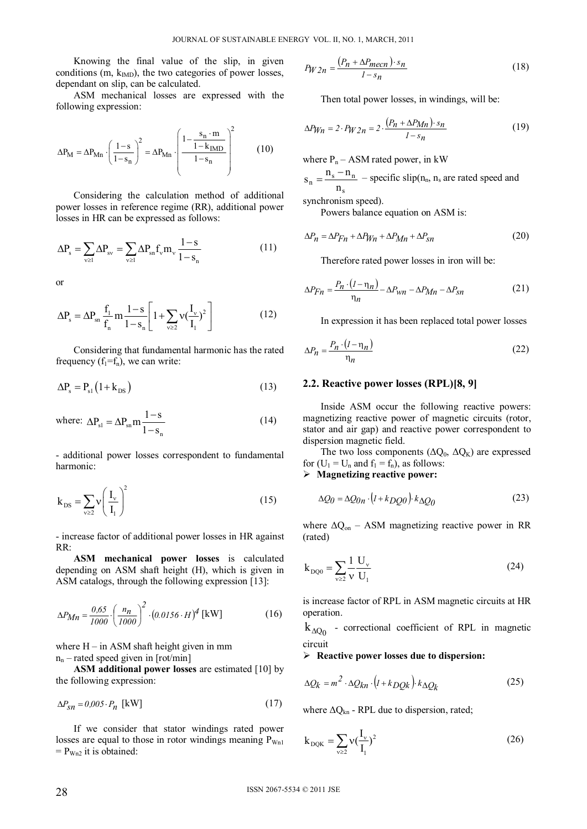Knowing the final value of the slip, in given conditions (m,  $k_{IMD}$ ), the two categories of power losses, dependant on slip, can be calculated.

ASM mechanical losses are expressed with the following expression:

$$
\Delta P_{\text{M}} = \Delta P_{\text{Mn}} \cdot \left(\frac{1 - s}{1 - s_{\text{n}}}\right)^2 = \Delta P_{\text{Mn}} \cdot \left(\frac{1 - \frac{s_{\text{n}} \cdot \text{m}}{1 - k_{\text{M}} \cdot \text{m}}}{1 - s_{\text{n}}}\right)^2 \tag{10}
$$

Considering the calculation method of additional power losses in reference regime (RR), additional power losses in HR can be expressed as follows:

$$
\Delta P_s = \sum_{\nu \ge 1} \Delta P_{sv} = \sum_{\nu \ge 1} \Delta P_{sn} f_{\nu} m_{\nu} \frac{1 - s}{1 - s_n} \tag{11}
$$

or

$$
\Delta P_s = \Delta P_{sn} \frac{f_1}{f_n} m \frac{1 - s}{1 - s_n} \left[ 1 + \sum_{\nu \ge 2} v \left( \frac{I_\nu}{I_1} \right)^2 \right] \tag{12}
$$

Considering that fundamental harmonic has the rated frequency  $(f_1 = f_n)$ , we can write:

$$
\Delta P_s = P_{s1} \left( 1 + k_{DS} \right) \tag{13}
$$

where: 
$$
\Delta P_{sl} = \Delta P_{sn} m \frac{1-s}{1-s_n}
$$
 (14)

- additional power losses correspondent to fundamental harmonic:

$$
k_{DS} = \sum_{\nu \ge 2} v \left( \frac{I_{\nu}}{I_1} \right)^2 \tag{15}
$$

- increase factor of additional power losses in HR against RR:

**ASM mechanical power losses** is calculated depending on ASM shaft height (H), which is given in ASM catalogs, through the following expression [13]:

$$
\Delta P_{Mn} = \frac{0.65}{1000} \cdot \left(\frac{n_n}{1000}\right)^2 \cdot (0.0156 \cdot H)^4 \text{ [kW]} \tag{16}
$$

where  $H - in$  ASM shaft height given in mm  $n_n$  – rated speed given in [rot/min]

**ASM additional power losses** are estimated [10] by the following expression:

$$
\Delta P_{\rm sn} = 0.005 \cdot P_n \text{ [kW]} \tag{17}
$$

If we consider that stator windings rated power losses are equal to those in rotor windings meaning  $P_{Wn1}$  $= P_{Wn2}$  it is obtained:

$$
P_{W2n} = \frac{(P_n + \Delta P_{mecn}) \cdot s_n}{1 - s_n} \tag{18}
$$

Then total power losses, in windings, will be:

$$
\Delta P_{Wn} = 2 \cdot P_{W2n} = 2 \cdot \frac{(P_n + \Delta P_{Mn}) \cdot s_n}{1 - s_n} \tag{19}
$$

where  $P_n - ASM$  rated power, in kW

 $s_n = \frac{n_s - n_n}{n_s}$  – specific slip(n<sub>n</sub>, n<sub>s</sub> are rated speed and

synchronism speed).

Powers balance equation on ASM is:

$$
\Delta P_n = \Delta P F_n + \Delta P W_n + \Delta P_{Mn} + \Delta P_{sn}
$$
\n(20)

Therefore rated power losses in iron will be:

$$
\Delta P_{Fn} = \frac{P_n \cdot (I - \eta_n)}{\eta_n} - \Delta P_{wn} - \Delta P_{Mn} - \Delta P_{sn}
$$
 (21)

In expression it has been replaced total power losses

$$
\Delta P_n = \frac{P_n \cdot (I - \eta_n)}{\eta_n} \tag{22}
$$

## **2.2. Reactive power losses (RPL)[8, 9]**

Inside ASM occur the following reactive powers: magnetizing reactive power of magnetic circuits (rotor, stator and air gap) and reactive power correspondent to dispersion magnetic field.

The two loss components  $(\Delta Q_0, \Delta Q_K)$  are expressed for  $(U_1 = U_n$  and  $f_1 = f_n$ ), as follows:

**Magnetizing reactive power:** 

$$
\Delta Q_0 = \Delta Q_{0n} \cdot (I + k_D Q_0) \cdot k_{\Delta Q_0} \tag{23}
$$

where  $\Delta Q_{on}$  – ASM magnetizing reactive power in RR (rated)

$$
k_{DQ0} = \sum_{v \ge 2} \frac{1}{v} \frac{U_v}{U_1}
$$
 (24)

is increase factor of RPL in ASM magnetic circuits at HR operation.

 $k_{\Delta Q_0}$  - correctional coefficient of RPL in magnetic circuit

#### **Reactive power losses due to dispersion:**

$$
\Delta Q_k = m^2 \cdot \Delta Q_{kn} \cdot (I + k_D Q_k) \cdot k \Delta Q_k \tag{25}
$$

where  $\Delta Q_{kn}$  - RPL due to dispersion, rated;

$$
k_{DQK} = \sum_{v \ge 2} v(\frac{I_v}{I_1})^2
$$
 (26)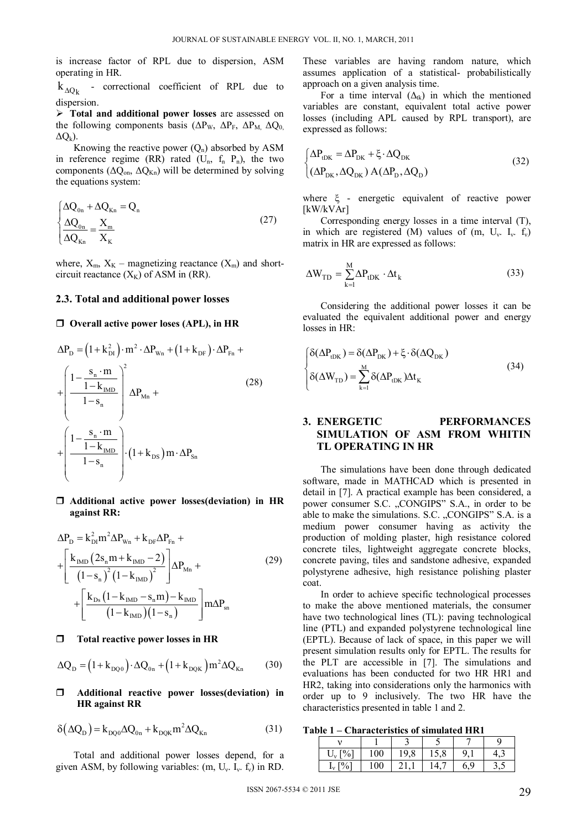is increase factor of RPL due to dispersion, ASM operating in HR.

 $k_{\Delta Q_k}$  - correctional coefficient of RPL due to dispersion.

 **Total and additional power losses** are assessed on the following components basis ( $\Delta P_{W}$ ,  $\Delta P_{F}$ ,  $\Delta P_{M}$ ,  $\Delta Q_{0}$  $\Delta O_k$ ).

Knowing the reactive power  $(Q_n)$  absorbed by ASM in reference regime (RR) rated ( $U_n$ ,  $f_n$ ,  $P_n$ ), the two components ( $\Delta Q_{on}$ ,  $\Delta Q_{Kn}$ ) will be determined by solving the equations system:

$$
\begin{cases}\n\Delta Q_{0n} + \Delta Q_{Kn} = Q_n \\
\frac{\Delta Q_{0n}}{\Delta Q_{Kn}} = \frac{X_m}{X_K}\n\end{cases}
$$
\n(27)

where,  $X_m$ ,  $X_K$  – magnetizing reactance  $(X_m)$  and shortcircuit reactance  $(X_K)$  of ASM in (RR).

## **2.3. Total and additional power losses**

#### **Overall active power loses (APL), in HR**

$$
\Delta P_{\rm D} = \left(1 + k_{\rm DI}^2\right) \cdot m^2 \cdot \Delta P_{\rm Wn} + \left(1 + k_{\rm DF}\right) \cdot \Delta P_{\rm Fn} + \left(\frac{1 - \frac{s_{\rm n} \cdot m}{1 - k_{\rm MDO}}}{1 - s_{\rm n}}\right)^2 \Delta P_{\rm Mn} + \left(\frac{1 - \frac{s_{\rm n} \cdot m}{1 - k_{\rm MDO}}}{1 - s_{\rm n}}\right) \cdot \left(1 + k_{\rm DS}\right) m \cdot \Delta P_{\rm Sn}
$$
\n(28)

## **Additional active power losses(deviation) in HR against RR:**

$$
\Delta P_{D} = k_{D1}^{2} m^{2} \Delta P_{Wn} + k_{DF} \Delta P_{Fn} +
$$
\n
$$
+ \left[ \frac{k_{mD} (2s_{n} m + k_{MD} - 2)}{(1 - s_{n})^{2} (1 - k_{MD})^{2}} \right] \Delta P_{Mn} +
$$
\n
$$
+ \left[ \frac{k_{Ds} (1 - k_{MD} - s_{n} m) - k_{MD}}{(1 - k_{MD}) (1 - s_{n})} \right] m \Delta P_{sn}
$$
\n(29)

#### **Total reactive power losses in HR**

$$
\Delta Q_{D} = (1 + k_{DQ0}) \cdot \Delta Q_{0n} + (1 + k_{DQK}) m^{2} \Delta Q_{Kn}
$$
 (30)

## **Additional reactive power losses(deviation) in HR against RR**

$$
\delta(\Delta Q_{\rm D}) = k_{\rm DQ0} \Delta Q_{\rm 0n} + k_{\rm DQK} m^2 \Delta Q_{\rm Kn}
$$
 (31)

Total and additional power losses depend, for a given ASM, by following variables:  $(m, U_v, I_v, f_v)$  in RD.

These variables are having random nature, which assumes application of a statistical- probabilistically approach on a given analysis time.

For a time interval  $(\Delta_{tk})$  in which the mentioned variables are constant, equivalent total active power losses (including APL caused by RPL transport), are expressed as follows:

$$
\begin{cases} \Delta P_{\text{tDK}} = \Delta P_{\text{DK}} + \xi \cdot \Delta Q_{\text{DK}} \\ (\Delta P_{\text{DK}}, \Delta Q_{\text{DK}}) A (\Delta P_{\text{D}}, \Delta Q_{\text{D}}) \end{cases}
$$
(32)

where  $\xi$  - energetic equivalent of reactive power [kW/kVAr]

Corresponding energy losses in a time interval (T), in which are registered (M) values of (m,  $U_v$ .  $I_v$ . f<sub>v</sub>) matrix in HR are expressed as follows:

$$
\Delta W_{TD} = \sum_{k=1}^{M} \Delta P_{tDK} \cdot \Delta t_k
$$
 (33)

Considering the additional power losses it can be evaluated the equivalent additional power and energy losses in HR:

$$
\begin{cases}\n\delta(\Delta P_{\text{tDK}}) = \delta(\Delta P_{\text{DK}}) + \xi \cdot \delta(\Delta Q_{\text{DK}}) \\
\delta(\Delta W_{\text{TD}}) = \sum_{k=1}^{M} \delta(\Delta P_{\text{tDK}}) \Delta t_{k}\n\end{cases}
$$
\n(34)

## **3. ENERGETIC PERFORMANCES SIMULATION OF ASM FROM WHITIN TL OPERATING IN HR**

The simulations have been done through dedicated software, made in MATHCAD which is presented in detail in [7]. A practical example has been considered, a power consumer S.C. "CONGIPS" S.A., in order to be able to make the simulations. S.C. "CONGIPS" S.A. is a medium power consumer having as activity the production of molding plaster, high resistance colored concrete tiles, lightweight aggregate concrete blocks, concrete paving, tiles and sandstone adhesive, expanded polystyrene adhesive, high resistance polishing plaster coat.

In order to achieve specific technological processes to make the above mentioned materials, the consumer have two technological lines (TL): paving technological line (PTL) and expanded polystyrene technological line (EPTL). Because of lack of space, in this paper we will present simulation results only for EPTL. The results for the PLT are accessible in [7]. The simulations and evaluations has been conducted for two HR HR1 and HR2, taking into considerations only the harmonics with order up to 9 inclusively. The two HR have the characteristics presented in table 1 and 2.

**Table 1 – Characteristics of simulated HR1** 

| $\mathbf{U}$ | 100 | O<br>u<br>19,0 | 1 J.V |  |
|--------------|-----|----------------|-------|--|
| $U_{\sim}$   | 100 |                |       |  |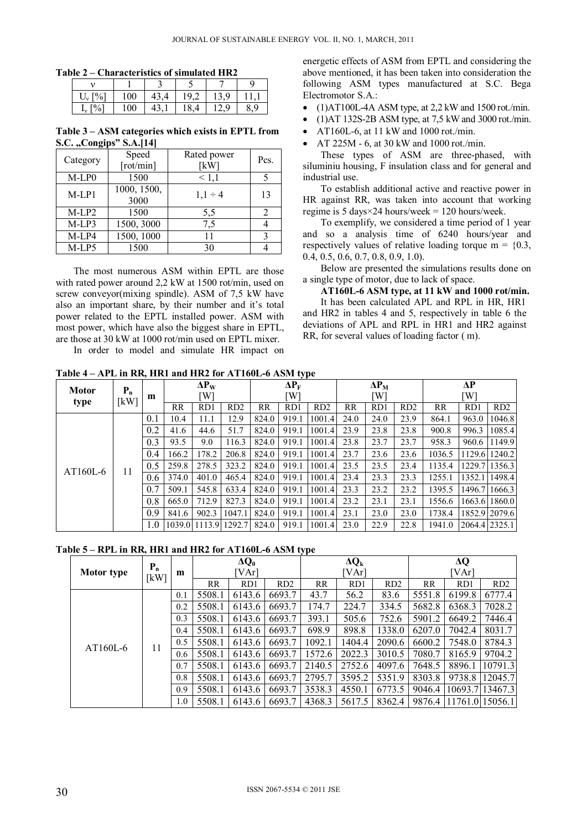**Table 2 – Characteristics of simulated HR2** 

|     | 100 | τυ |   | a |   |
|-----|-----|----|---|---|---|
| 10/ | 100 | τ  | ັ |   | Q |

**Table 3 – ASM categories which exists in EPTL from S.C.** "Congips" **S.A.**[14]

| Category | Speed<br>$[\text{rot/min}]$ | Rated power<br>[kW] | Pcs. |
|----------|-----------------------------|---------------------|------|
| M-LP0    | 1500                        | 1,1                 |      |
| $M-LP1$  | 1000, 1500,<br>3000         | $1,1 \div 4$        | 13   |
| $M-LP2$  | 1500                        | 5,5                 | 2    |
| $M-LP3$  | 1500, 3000                  | 7,5                 |      |
| M-LP4    | 1500, 1000                  | 11                  |      |
| M-LP5    | 1500                        | 30                  |      |

The most numerous ASM within EPTL are those with rated power around 2,2 kW at 1500 rot/min, used on screw conveyor(mixing spindle). ASM of 7,5 kW have also an important share, by their number and it's total power related to the EPTL installed power. ASM with most power, which have also the biggest share in EPTL, are those at 30 kW at 1000 rot/min used on EPTL mixer. In order to model and simulate HR impact on energetic effects of ASM from EPTL and considering the above mentioned, it has been taken into consideration the following ASM types manufactured at S.C. Bega Electromotor S.A.:

- $\bullet$  (1)AT100L-4A ASM type, at 2,2 kW and 1500 rot./min.
- (1)AT 132S-2B ASM type, at 7,5 kW and 3000 rot./min.
- AT160L-6, at 11 kW and 1000 rot./min.

AT 225M - 6, at 30 kW and 1000 rot./min.

These types of ASM are three-phased, with siluminiu housing, F insulation class and for general and industrial use.

To establish additional active and reactive power in HR against RR, was taken into account that working regime is 5 days $\times$ 24 hours/week = 120 hours/week.

To exemplify, we considered a time period of 1 year and so a analysis time of 6240 hours/year and respectively values of relative loading torque  $m = \{0.3, \ldots\}$ 0.4, 0.5, 0.6, 0.7, 0.8, 0.9, 1.0).

Below are presented the simulations results done on a single type of motor, due to lack of space.

**AT160L-6 ASM type, at 11 kW and 1000 rot/min.**  It has been calculated APL and RPL in HR, HR1 and HR2 in tables 4 and 5, respectively in table 6 the deviations of APL and RPL in HR1 and HR2 against

RR, for several values of loading factor ( m).

**Table 4 – APL in RR, HR1 and HR2 for AT160L-6 ASM type** 

| <b>Motor</b> | $P_n$ |     |        | $\Delta P_{W}$ |               | $\Delta P_F$ |                 |        | $\Delta P_M$ |      |                 | ΔP        |        |                 |
|--------------|-------|-----|--------|----------------|---------------|--------------|-----------------|--------|--------------|------|-----------------|-----------|--------|-----------------|
| type         | [kW]  | m   | [W]    |                |               | W]           |                 |        | W]           |      |                 | [W]       |        |                 |
|              |       |     | RR     | RD1            | RD2           | RR           | RD <sub>1</sub> | RD2    | <b>RR</b>    | RD1  | RD <sub>2</sub> | <b>RR</b> | RD1    | RD <sub>2</sub> |
|              |       | 0.1 | 10.4   | 11.1           | 12.9          | 824.0        | 919.1           | 1001.4 | 24.0         | 24.0 | 23.9            | 864.1     | 963.0  | 1046.8          |
|              |       | 0.2 | 41.6   | 44.6           | 51.7          | 824.0        | 919.1           | 1001.4 | 23.9         | 23.8 | 23.8            | 900.8     | 996.3  | 1085.4          |
|              |       | 0.3 | 93.5   | 9.0            | 116.3         | 824.0        | 919.1           | 1001.4 | 23.8         | 23.7 | 23.7            | 958.3     | 960.6  | 1149.9          |
|              |       | 0.4 | 166.2  | 178.2          | 206.8         | 824.0        | 919.1           | 1001.4 | 23.7         | 23.6 | 23.6            | 1036.5    |        | 1129.6 1240.2   |
| AT160L-6     |       | 0.5 | 259.8  | 278.5          | 323.2         | 824.0        | 919.1           | 1001.4 | 23.5         | 23.5 | 23.4            | 1135.4    |        | 1229.7 1356.3   |
|              | 11    | 0.6 | 374.0  | 401.0          | 465.4         | 824.0        | 919.1           | 1001.4 | 23.4         | 23.3 | 23.3            | 1255.1    | 1352.1 | 1498.4          |
|              |       | 0.7 | 509.1  | 545.8          | 633.4         | 824.0        | 919.1           | 1001.4 | 23.3         | 23.2 | 23.2            | 1395.5    |        | 1496.7 1666.3   |
|              |       | 0.8 | 665.0  | 712.9          | 827.3         | 824.0        | 919.1           | 1001.4 | 23.2         | 23.1 | 23.1            | 1556.6    |        | 1663.6 1860.0   |
|              |       | 0.9 | 841.6  | 902.3          | 1047.1        | 824.0        | 919.1           | 1001.4 | 23.1         | 23.0 | 23.0            | 1738.4    |        | 1852.9 2079.6   |
|              |       | 1.0 | 1039.0 |                | 1113.9 1292.7 | 824.0        | 919.1           | 1001.4 | 23.0         | 22.9 | 22.8            | 1941.0    |        | 2064.4 2325.1   |

**Table 5 – RPL in RR, HR1 and HR2 for AT160L-6 ASM type** 

|                   | $P_n$ |     | $\Delta Q_0$<br>VAr] |        |                 |           | $\Delta Q_k$ |        | $\Delta Q$<br>[VAr] |        |                 |  |
|-------------------|-------|-----|----------------------|--------|-----------------|-----------|--------------|--------|---------------------|--------|-----------------|--|
| <b>Motor type</b> | [kW]  | m   |                      |        |                 |           | [VAr         |        |                     |        |                 |  |
|                   |       |     | RR                   | RD1    | RD <sub>2</sub> | <b>RR</b> | RD1          | RD2    | RR                  | RD1    | RD <sub>2</sub> |  |
|                   |       | 0.1 | 5508.1               | 6143.6 | 6693.7          | 43.7      | 56.2         | 83.6   | 5551.8              | 6199.8 | 6777.4          |  |
|                   |       | 0.2 | 5508.1               | 6143.6 | 6693.7          | 174.7     | 224.7        | 334.5  | 5682.8              | 6368.3 | 7028.2          |  |
|                   | 11    | 0.3 | 5508.1               | 6143.6 | 6693.7          | 393.1     | 505.6        | 752.6  | 5901.2              | 6649.2 | 7446.4          |  |
|                   |       | 0.4 | 5508.1               | 6143.6 | 6693.7          | 698.9     | 898.8        | 1338.0 | 6207.0              | 7042.4 | 8031.7          |  |
| $AT160L-6$        |       | 0.5 | 5508.1               | 6143.6 | 6693.7          | 1092.1    | 1404.4       | 2090.6 | 6600.2              | 7548.0 | 8784.3          |  |
|                   |       | 0.6 | 5508.1               | 6143.6 | 6693.7          | 1572.6    | 2022.3       | 3010.5 | 7080.7              | 8165.9 | 9704.2          |  |
|                   |       | 0.7 | 5508.1               | 6143.6 | 6693.7          | 2140.5    | 2752.6       | 4097.6 | 7648.5              | 8896.1 | 10791.3         |  |
|                   |       | 0.8 | 5508.1               | 6143.6 | 6693.7          | 2795.7    | 3595.2       | 5351.9 | 8303.8              | 9738.8 | 12045.7         |  |
|                   |       | 0.9 | 5508.1               | 6143.6 | 6693.7          | 3538.3    | 4550.1       | 6773.5 | 9046.4              |        | 10693.7113467.3 |  |
|                   |       | 1.0 | 5508.1               | 6143.6 | 6693.7          | 4368.3    | 5617.5       | 8362.4 | 9876.4              |        | 11761.0 15056.1 |  |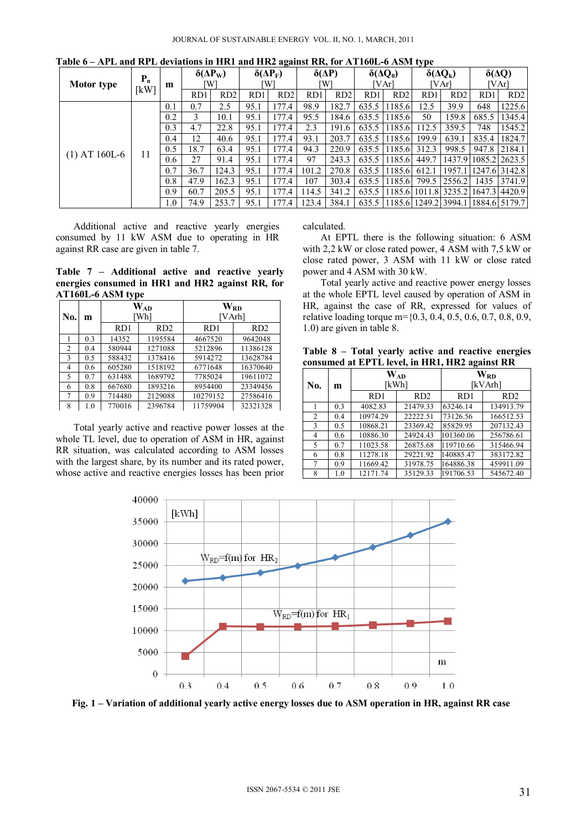|                   | $P_n$ |     | $\delta(\Delta P_{W})$<br>W<br>m |                 | $\delta(\Delta P_F)$<br>W |       | $\delta(\Delta P)$<br>W |       | $\delta(\Delta Q_0)$<br>[VArl |        | $\delta(\Delta Q_k)$<br>VArl |                             | $\delta(\Delta Q)$<br>[VAr |                 |
|-------------------|-------|-----|----------------------------------|-----------------|---------------------------|-------|-------------------------|-------|-------------------------------|--------|------------------------------|-----------------------------|----------------------------|-----------------|
| <b>Motor type</b> | [kW]  |     |                                  |                 |                           |       |                         |       |                               |        |                              |                             |                            |                 |
|                   |       |     | RD1                              | RD <sub>2</sub> | RD1                       | RD2   | RD1                     | RD2   | RD1                           | RD2    | RD1                          | RD <sub>2</sub>             | RD1                        | RD <sub>2</sub> |
|                   |       | 0.1 | 0.7                              | 2.5             | 95.1                      | 77.4  | 98.9                    | 182.7 | 635.5                         | 1185.6 | 12.5                         | 39.9                        | 648                        | 1225.6          |
|                   |       | 0.2 | 3                                | 10.1            | 95.1                      | .77.4 | 95.5                    | 184.6 | 635.5                         | 1185.6 | 50                           | 159.8                       | 685.5                      | 1345.4          |
|                   | 11    | 0.3 | 4.7                              | 22.8            | 95.1                      | 177.4 | 2.3                     | 191.6 | 635.5                         | 1185.6 | 112.5                        | 359.5                       | 748                        | 1545.2          |
|                   |       | 0.4 | 12                               | 40.6            | 95.1                      | .77.4 | 93.1                    | 203.7 | 635.5                         | 1185.6 | 199.9                        | 639.1                       | 835.4                      | 1824.7          |
| $(1)$ AT 160L-6   |       | 0.5 | 18.7                             | 63.4            | 95.1                      | 177.4 | 94.3                    | 220.9 | 635.5                         | 1185.6 | 312.3                        | 998.5                       | 947.8                      | 2184.1          |
|                   |       | 0.6 | 27                               | 91.4            | 95.1                      | 77.4  | 97                      | 243.3 | 635.5                         | 1185.6 | 449.7                        | 1437.9                      |                            | 1085.2 2623.5   |
|                   |       | 0.7 | 36.7                             | 124.3           | 95.1                      | 77.4  | 101.2                   | 270.8 | 635.5                         | 1185.6 | 612.1                        | 1957.1                      |                            | 1247.6 3142.8   |
|                   |       | 0.8 | 47.9                             | 162.3           | 95.1                      | 77.4  | 107                     | 303.4 | 635.5                         | 1185.6 | 799.5                        | 2556.2                      | 1435                       | 3741.9          |
|                   |       | 0.9 | 60.7                             | 205.5           | 95.1                      | 177.4 | 114.5                   | 341.2 | 635.5                         | 1185.6 |                              | 1011.8 3235.2               |                            | 1647.3 4420.9   |
|                   |       | 1.0 | 74.9                             | 253.7           | 95.1                      | 177.4 | 123.4                   | 384.1 | 635.5                         | 1185.6 |                              | 1249.2 3994.1 1884.6 5179.7 |                            |                 |

**Table 6 – APL and RPL deviations in HR1 and HR2 against RR, for AT160L-6 ASM type** 

Additional active and reactive yearly energies consumed by 11 kW ASM due to operating in HR against RR case are given in table 7.

**Table 7 – Additional active and reactive yearly energies consumed in HR1 and HR2 against RR, for AT160L-6 ASM type** 

| No. | m   |                 | $\mathbf{W}_{\mathbf{A}\mathbf{D}}$<br>Wh] | W <sub>RD</sub><br>[VArh] |                 |  |  |
|-----|-----|-----------------|--------------------------------------------|---------------------------|-----------------|--|--|
|     |     | RD <sub>1</sub> | RD <sub>2</sub>                            | RD <sub>1</sub>           | RD <sub>2</sub> |  |  |
|     | 0.3 | 14352           | 1195584                                    | 4667520                   | 9642048         |  |  |
| 2   | 0.4 | 580944          | 1271088                                    | 5212896                   | 11386128        |  |  |
| 3   | 0.5 | 588432          | 1378416                                    | 5914272                   | 13628784        |  |  |
| 4   | 0.6 | 605280          | 1518192                                    | 6771648                   | 16370640        |  |  |
| 5   | 0.7 | 631488          | 1689792                                    | 7785024                   | 19611072        |  |  |
| 6   | 0.8 | 667680          | 1893216                                    | 8954400                   | 23349456        |  |  |
| 7   | 0.9 | 714480          | 2129088                                    | 10279152                  | 27586416        |  |  |
| 8   | 1.0 | 770016          | 2396784                                    | 11759904                  | 32321328        |  |  |

Total yearly active and reactive power losses at the whole TL level, due to operation of ASM in HR, against RR situation, was calculated according to ASM losses with the largest share, by its number and its rated power, whose active and reactive energies losses has been prior calculated.

At EPTL there is the following situation: 6 ASM with 2,2 kW or close rated power, 4 ASM with 7,5 kW or close rated power, 3 ASM with 11 kW or close rated power and 4 ASM with 30 kW.

Total yearly active and reactive power energy losses at the whole EPTL level caused by operation of ASM in HR, against the case of RR, expressed for values of relative loading torque m={0.3, 0.4, 0.5, 0.6, 0.7, 0.8, 0.9, 1.0) are given in table 8.

**Table 8 – Total yearly active and reactive energies consumed at EPTL level, in HR1, HR2 against RR**

| No.            | m   |                 | $\mathbf{W_{AD}}$<br>[kWh] | $\mathbf{W}_{\mathbf{R}\mathbf{D}}$<br>[kVArh] |           |  |  |
|----------------|-----|-----------------|----------------------------|------------------------------------------------|-----------|--|--|
|                |     | RD <sub>1</sub> | RD2                        | RD <sub>1</sub>                                | RD2       |  |  |
|                | 0.3 | 4082.83         | 21479.33                   | 63246.14                                       | 134913.79 |  |  |
| $\overline{2}$ | 0.4 | 10974.29        | 22222.51                   | 73126.56                                       | 166512.53 |  |  |
| 3              | 0.5 | 10868.21        | 23369.42                   | 85829.95                                       | 207132.43 |  |  |
| 4              | 0.6 | 10886.30        | 24924.43                   | 101360.06                                      | 256786.61 |  |  |
| 5              | 0.7 | 11023.58        | 26875.68                   | 119710.66                                      | 315466.94 |  |  |
| 6              | 0.8 | 11278.18        | 29221.92                   | 140885.47                                      | 383172.82 |  |  |
| 7              | 0.9 | 11669.42        | 31978.75                   | 164886.38                                      | 459911.09 |  |  |
| 8              | 1.0 | 12171.74        | 35129.33                   | 191706.53                                      | 545672.40 |  |  |



**Fig. 1 – Variation of additional yearly active energy losses due to ASM operation in HR, against RR case**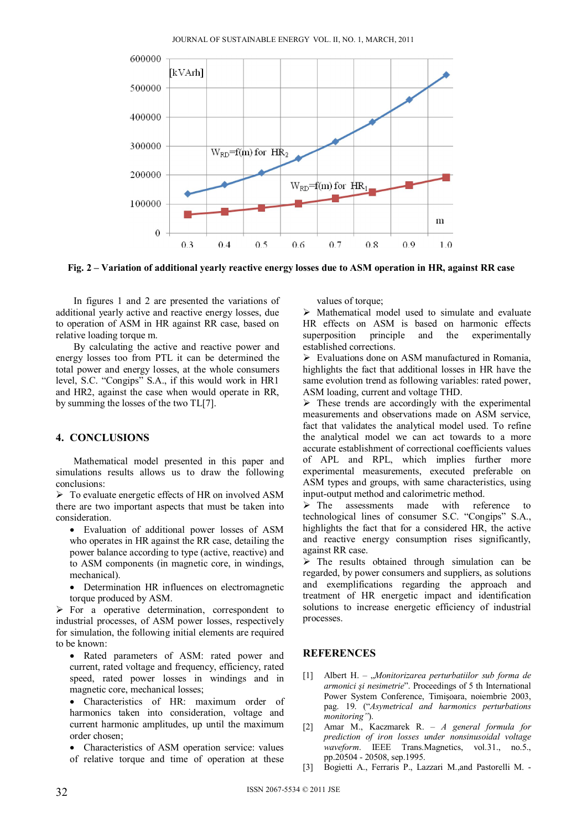

**Fig. 2 – Variation of additional yearly reactive energy losses due to ASM operation in HR, against RR case** 

In figures 1 and 2 are presented the variations of additional yearly active and reactive energy losses, due to operation of ASM in HR against RR case, based on relative loading torque m.

By calculating the active and reactive power and energy losses too from PTL it can be determined the total power and energy losses, at the whole consumers level, S.C. "Congips" S.A., if this would work in HR1 and HR2, against the case when would operate in RR, by summing the losses of the two TL[7].

## **4. CONCLUSIONS**

Mathematical model presented in this paper and simulations results allows us to draw the following conclusions:

 $\triangleright$  To evaluate energetic effects of HR on involved ASM there are two important aspects that must be taken into consideration.

- Evaluation of additional power losses of ASM who operates in HR against the RR case, detailing the power balance according to type (active, reactive) and to ASM components (in magnetic core, in windings, mechanical).
- Determination HR influences on electromagnetic torque produced by ASM.

 $\triangleright$  For a operative determination, correspondent to industrial processes, of ASM power losses, respectively for simulation, the following initial elements are required to be known:

 Rated parameters of ASM: rated power and current, rated voltage and frequency, efficiency, rated speed, rated power losses in windings and in magnetic core, mechanical losses;

 Characteristics of HR: maximum order of harmonics taken into consideration, voltage and current harmonic amplitudes, up until the maximum order chosen;

Characteristics of ASM operation service: values

of relative torque and time of operation at these

values of torque:

 $\triangleright$  Mathematical model used to simulate and evaluate HR effects on ASM is based on harmonic effects superposition principle and the experimentally established corrections.

 $\triangleright$  Evaluations done on ASM manufactured in Romania, highlights the fact that additional losses in HR have the same evolution trend as following variables: rated power, ASM loading, current and voltage THD.

 $\triangleright$  These trends are accordingly with the experimental measurements and observations made on ASM service, fact that validates the analytical model used. To refine the analytical model we can act towards to a more accurate establishment of correctional coefficients values of APL and RPL, which implies further more experimental measurements, executed preferable on ASM types and groups, with same characteristics, using input-output method and calorimetric method.

> The assessments made with reference to technological lines of consumer S.C. "Congips" S.A., highlights the fact that for a considered HR, the active and reactive energy consumption rises significantly, against RR case.

 $\triangleright$  The results obtained through simulation can be regarded, by power consumers and suppliers, as solutions and exemplifications regarding the approach and treatment of HR energetic impact and identification solutions to increase energetic efficiency of industrial processes.

## **REFERENCES**

- [1] Albert H. "*Monitorizarea perturbatiilor sub forma de armonici şi nesimetrie*". Proceedings of 5 th International Power System Conference, Timişoara, noiembrie 2003, pag. 19. ("*Asymetrical and harmonics perturbations monitoring"*).
- [2] Amar M., Kaczmarek R. *A general formula for prediction of iron losses under nonsinusoidal voltage waveform*. IEEE Trans.Magnetics, vol.31., no.5., pp.20504 - 20508, sep.1995.
- [3] Bogietti A., Ferraris P., Lazzari M.,and Pastorelli M. -